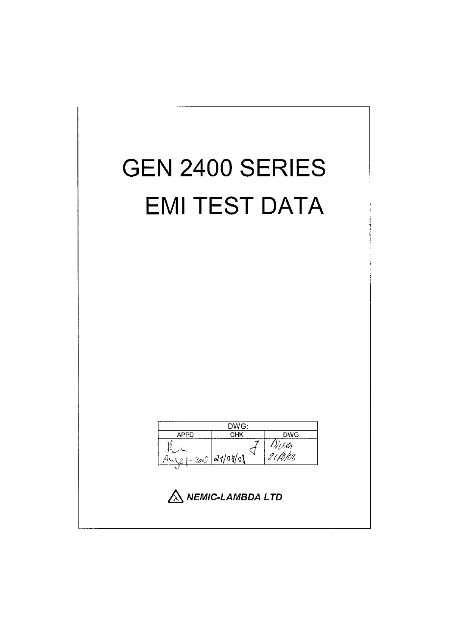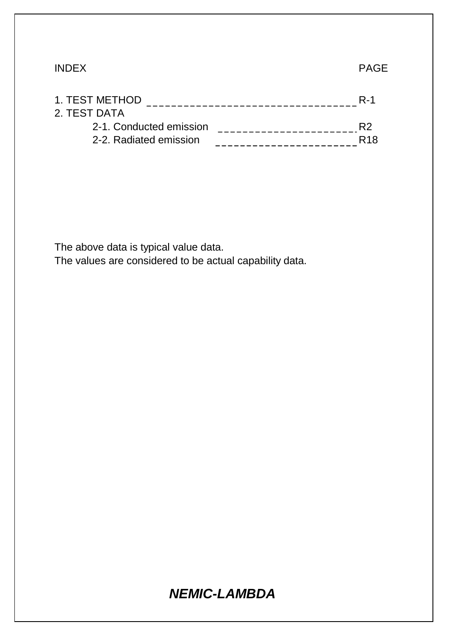### INDEX PAGE

| <b>R-1</b>      |
|-----------------|
|                 |
| R2              |
| R <sub>18</sub> |
|                 |

The above data is typical value data.

The values are considered to be actual capability data.

# *NEMIC-LAMBDA*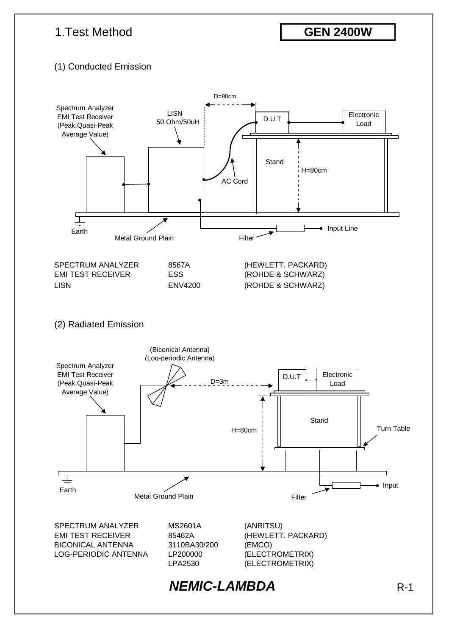# 1.Test Method

**GEN 2400W**

### (1) Conducted Emission

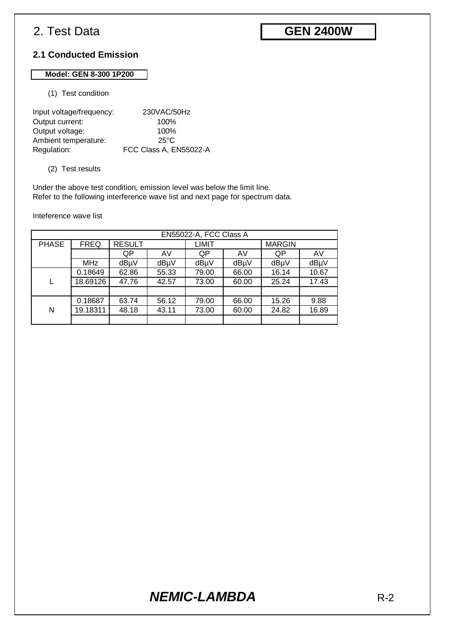# **GEN 2400W**

### **2.1 Conducted Emission**

#### **Model: GEN 8-300 1P200**

(1) Test condition

| Input voltage/frequency: | 230VAC/50Hz            |
|--------------------------|------------------------|
| Output current:          | 100%                   |
| Output voltage:          | 100%                   |
| Ambient temperature:     | $25^{\circ}$ C         |
| Regulation:              | FCC Class A, EN55022-A |

#### (2) Test results

Under the above test condition, emission level was below the limit line. Refer to the following interference wave list and next page for spectrum data.

Inteference wave list

|              | EN55022-A, FCC Class A |               |       |       |       |               |       |
|--------------|------------------------|---------------|-------|-------|-------|---------------|-------|
| <b>PHASE</b> | <b>FREQ</b>            | <b>RESULT</b> |       | LIMIT |       | <b>MARGIN</b> |       |
|              |                        | QP            | AV    | QP    | AV    | QP            | AV    |
|              | <b>MHz</b>             | dBµV          | dBµV  | dBµV  | dBµV  | dBµV          | dBµV  |
|              | 0.18649                | 62.86         | 55.33 | 79.00 | 66.00 | 16.14         | 10.67 |
|              | 18.69126               | 47.76         | 42.57 | 73.00 | 60.00 | 25.24         | 17.43 |
|              |                        |               |       |       |       |               |       |
|              | 0.18687                | 63.74         | 56.12 | 79.00 | 66.00 | 15.26         | 9.88  |
| N            | 19.18311               | 48.18         | 43.11 | 73.00 | 60.00 | 24.82         | 16.89 |
|              |                        |               |       |       |       |               |       |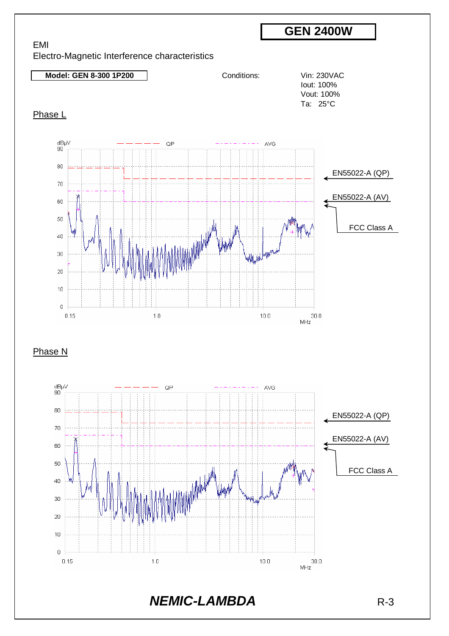

 $10.0$ 

 $30.0\,$  $MHz$ 

 $1.0$ 

 $\overline{0}$  $0.15$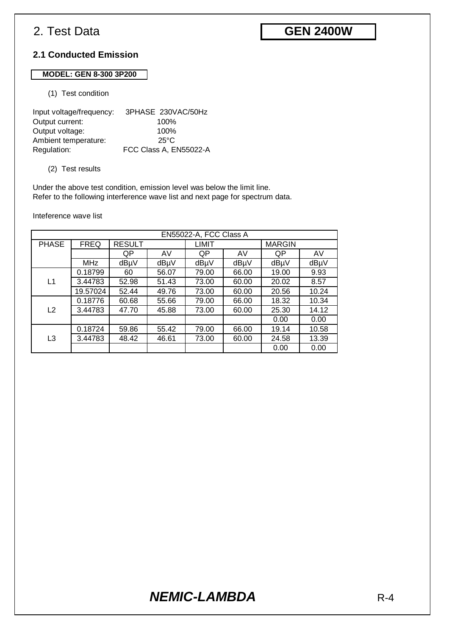# **GEN 2400W**

#### **2.1 Conducted Emission**

#### **MODEL: GEN 8-300 3P200**

#### (1) Test condition

| Input voltage/frequency: | 3PHASE 230VAC/50Hz     |
|--------------------------|------------------------|
| Output current:          | 100%                   |
| Output voltage:          | 100%                   |
| Ambient temperature:     | 25°C                   |
| Regulation:              | FCC Class A, EN55022-A |

#### (2) Test results

Under the above test condition, emission level was below the limit line. Refer to the following interference wave list and next page for spectrum data.

Inteference wave list

| EN55022-A, FCC Class A |             |               |       |              |       |               |       |
|------------------------|-------------|---------------|-------|--------------|-------|---------------|-------|
| <b>PHASE</b>           | <b>FREQ</b> | <b>RESULT</b> |       | <b>LIMIT</b> |       | <b>MARGIN</b> |       |
|                        |             | QP            | AV    | QP           | AV    | QP            | AV    |
|                        | MHz         | dBµV          | dBµV  | dBµV         | dBµV  | dBµV          | dBµV  |
|                        | 0.18799     | 60            | 56.07 | 79.00        | 66.00 | 19.00         | 9.93  |
| L1                     | 3.44783     | 52.98         | 51.43 | 73.00        | 60.00 | 20.02         | 8.57  |
|                        | 19.57024    | 52.44         | 49.76 | 73.00        | 60.00 | 20.56         | 10.24 |
|                        | 0.18776     | 60.68         | 55.66 | 79.00        | 66.00 | 18.32         | 10.34 |
| L2                     | 3.44783     | 47.70         | 45.88 | 73.00        | 60.00 | 25.30         | 14.12 |
|                        |             |               |       |              |       | 0.00          | 0.00  |
|                        | 0.18724     | 59.86         | 55.42 | 79.00        | 66.00 | 19.14         | 10.58 |
| L3                     | 3.44783     | 48.42         | 46.61 | 73.00        | 60.00 | 24.58         | 13.39 |
|                        |             |               |       |              |       | 0.00          | 0.00  |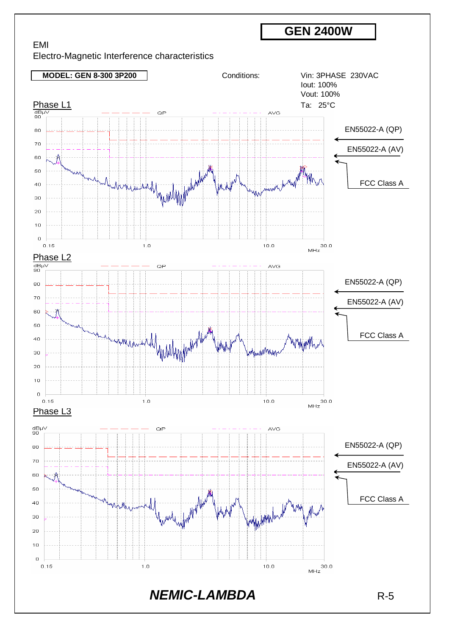EMI Electro-Magnetic Interference characteristics

**MODEL: GEN 8-300 3P200** Conditions: Vin: 3PHASE 230VAC Iout: 100% Vout: 100%  $\begin{array}{cccccccccccccc} \textbf{\textcolor{blue}{\textbf{Phase L1}}} & & & & & \textbf{\textcolor{blue}{\textbf{Ta: 25°C}}} \\ \hline \frac{\text{dB}\mu\text{V}}{90} & \textcolor{red}{\textbf{A: 25°C}} & \textcolor{red}{\textbf{A: 25°C}} & \textcolor{red}{\textbf{A: 25°C}} \\ \hline \end{array}$ EN55022-A (QP) 80 70 EN55022-A (AV) 60 50 Lyconlingford FCC Class A  $40$ 30 20  $10$  $\Omega$  $\overline{30.0}$ <br>MHz  $0.15$  $1.0$  $10.0$  $\frac{\text{Phase L2}}{\frac{\text{dB}\mu\vee}{90}}$ QP **AVG** EN55022-A (QP) 80 70 EN55022-A (AV) 60  $50$ FCC Class A  $40$ MAM www. 30  $_{20}$  $10$  $\bar{0}$  $0.15$  $1.0$  $10.0$  $30.0$ MHz Phase L3  $\frac{\text{dB}\mu\vee}{90}$  $AVG$ OF EN55022-A (QP) 80  $70$ EN55022-A (AV) 60 50 FCC Class A $40$ why ball www. 30  $20$  $10$  $\sigma$  $0.15$  $1.0$  $10.0$ *NEMIC-LAMBDA* R-5

**GEN 2400W**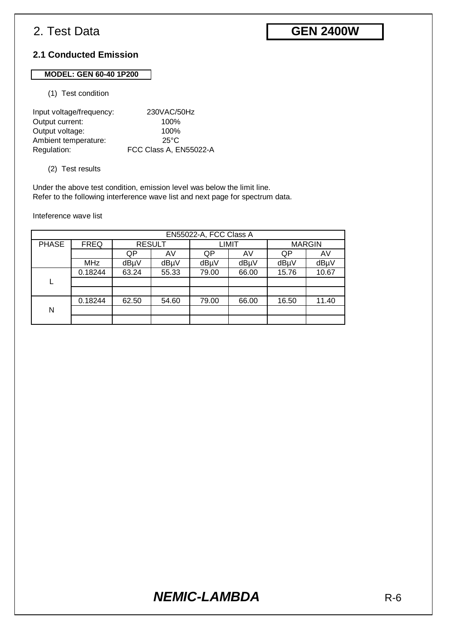# **GEN 2400W**

### **2.1 Conducted Emission**

### **MODEL: GEN 60-40 1P200**

#### (1) Test condition

| Input voltage/frequency: | 230VAC/50Hz            |
|--------------------------|------------------------|
| Output current:          | 100%                   |
| Output voltage:          | 100%                   |
| Ambient temperature:     | 25°C                   |
| Regulation:              | FCC Class A, EN55022-A |

#### (2) Test results

Under the above test condition, emission level was below the limit line. Refer to the following interference wave list and next page for spectrum data.

Inteference wave list

|              | EN55022-A, FCC Class A |       |               |              |       |               |       |
|--------------|------------------------|-------|---------------|--------------|-------|---------------|-------|
| <b>PHASE</b> | <b>FREQ</b>            |       | <b>RESULT</b> | <b>LIMIT</b> |       | <b>MARGIN</b> |       |
|              |                        | QP    | AV            | QP           | AV    | QP            | AV    |
|              | <b>MHz</b>             | dBµV  | dBµV          | dBµV         | dBµV  | dBµV          | dBµV  |
|              | 0.18244                | 63.24 | 55.33         | 79.00        | 66.00 | 15.76         | 10.67 |
|              |                        |       |               |              |       |               |       |
|              |                        |       |               |              |       |               |       |
|              | 0.18244                | 62.50 | 54.60         | 79.00        | 66.00 | 16.50         | 11.40 |
| N            |                        |       |               |              |       |               |       |
|              |                        |       |               |              |       |               |       |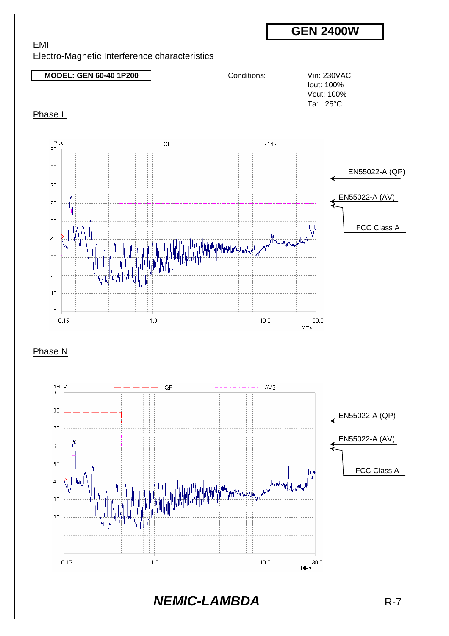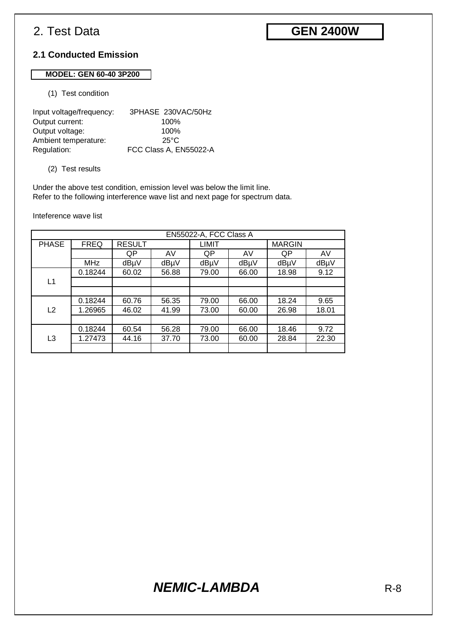# **GEN 2400W**

### **2.1 Conducted Emission**

#### **MODEL: GEN 60-40 3P200**

(1) Test condition

| Input voltage/frequency: | 3PHASE 230VAC/50Hz     |
|--------------------------|------------------------|
| Output current:          | 100%                   |
| Output voltage:          | 100%                   |
| Ambient temperature:     | 25°C                   |
| Regulation:              | FCC Class A, EN55022-A |

#### (2) Test results

Under the above test condition, emission level was below the limit line. Refer to the following interference wave list and next page for spectrum data.

Inteference wave list

|                | EN55022-A, FCC Class A |               |       |              |       |               |       |
|----------------|------------------------|---------------|-------|--------------|-------|---------------|-------|
| <b>PHASE</b>   | <b>FREQ</b>            | <b>RESULT</b> |       | <b>LIMIT</b> |       | <b>MARGIN</b> |       |
|                |                        | QP            | AV    | QP           | AV    | QP            | AV    |
|                | <b>MHz</b>             | dBµV          | dBµV  | dBµV         | dBµV  | dBµV          | dBµV  |
|                | 0.18244                | 60.02         | 56.88 | 79.00        | 66.00 | 18.98         | 9.12  |
| L1             |                        |               |       |              |       |               |       |
|                |                        |               |       |              |       |               |       |
|                | 0.18244                | 60.76         | 56.35 | 79.00        | 66.00 | 18.24         | 9.65  |
| L <sub>2</sub> | 1.26965                | 46.02         | 41.99 | 73.00        | 60.00 | 26.98         | 18.01 |
|                |                        |               |       |              |       |               |       |
|                | 0.18244                | 60.54         | 56.28 | 79.00        | 66.00 | 18.46         | 9.72  |
| L3             | 1.27473                | 44.16         | 37.70 | 73.00        | 60.00 | 28.84         | 22.30 |
|                |                        |               |       |              |       |               |       |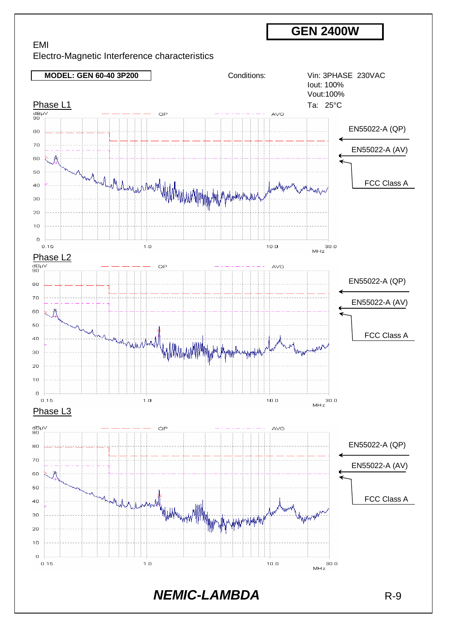EMI Electro-Magnetic Interference characteristics

**MODEL: GEN 60-40 3P200** Conditions: Vin: 3PHASE 230VAC Iout: 100% Vout:100%  $\underbrace{\text{Phase } L1}_{\text{gap}} \qquad \qquad \underbrace{\qquad \qquad}_{\text{map}} \qquad \qquad \text{or} \qquad \qquad \qquad \text{or} \qquad \qquad \text{or} \qquad \qquad \text{or} \qquad \qquad \text{or} \qquad \qquad \text{or} \qquad \qquad \text{or} \qquad \qquad \text{or} \qquad \qquad \text{or} \qquad \qquad \text{or} \qquad \qquad \text{or} \qquad \qquad \text{or} \qquad \qquad \text{or} \qquad \qquad \text{or} \qquad \qquad \text{or} \qquad \qquad \text{or} \qquad \$ QP AVG EN55022-A (QP) 80 70 EN55022-A (AV) 60 50 Marchanica composited the marginal his management FCC Class A  $4<sub>0</sub>$ 30 20  $10$  $\bar{0}$  $0.15$  $1.0$  $10.0$  $\frac{\text{Phase L2}}{\text{dB}\mu\text{V}}$ OP AVG EN55022-A (QP) 80 70 EN55022-A (AV) 60 50 FCC Class A  $40$ MARKA MARKA 30 20  $10$  $\circ$  $0.15$  $1.0$  $10.0$ Phase L<sub>3</sub>  $\frac{\text{dB}\mu\vee}{90}$ QP  $AVG$ EN55022-A (QP) 80 70 EN55022-A (AV) 60 50 and Wildham with the win with FCC Class A40 thija 30 20  $10$  $\mathbf 0$  $0.15$  $1.0$  $10.0$ **NEMIC-LAMBDA** R-9

**GEN 2400W**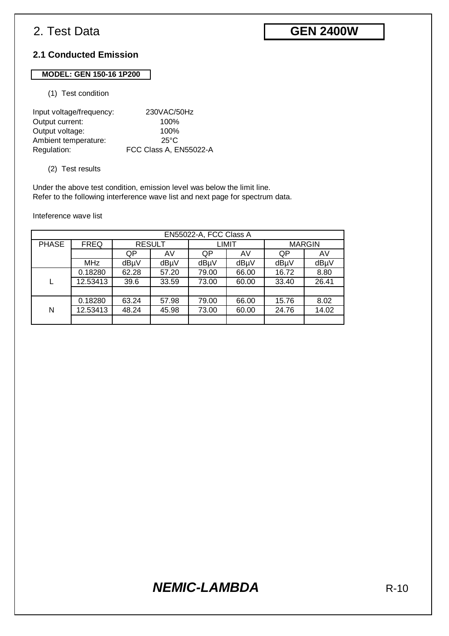# **GEN 2400W**

### **2.1 Conducted Emission**

#### **MODEL: GEN 150-16 1P200**

#### (1) Test condition

| Input voltage/frequency: | 230VAC/50Hz            |
|--------------------------|------------------------|
| Output current:          | 100%                   |
| Output voltage:          | 100%                   |
| Ambient temperature:     | $25^{\circ}$ C         |
| Regulation:              | FCC Class A, EN55022-A |

#### (2) Test results

Under the above test condition, emission level was below the limit line. Refer to the following interference wave list and next page for spectrum data.

Inteference wave list

|              | EN55022-A, FCC Class A |       |               |              |       |               |       |
|--------------|------------------------|-------|---------------|--------------|-------|---------------|-------|
| <b>PHASE</b> | <b>FREQ</b>            |       | <b>RESULT</b> | <b>LIMIT</b> |       | <b>MARGIN</b> |       |
|              |                        | QP    | AV            | QP           | AV    | QP            | AV    |
|              | <b>MHz</b>             | dBµV  | dBµV          | dBµV         | dBµV  | dBµV          | dBµV  |
|              | 0.18280                | 62.28 | 57.20         | 79.00        | 66.00 | 16.72         | 8.80  |
|              | 12.53413               | 39.6  | 33.59         | 73.00        | 60.00 | 33.40         | 26.41 |
|              |                        |       |               |              |       |               |       |
|              | 0.18280                | 63.24 | 57.98         | 79.00        | 66.00 | 15.76         | 8.02  |
| N            | 12.53413               | 48.24 | 45.98         | 73.00        | 60.00 | 24.76         | 14.02 |
|              |                        |       |               |              |       |               |       |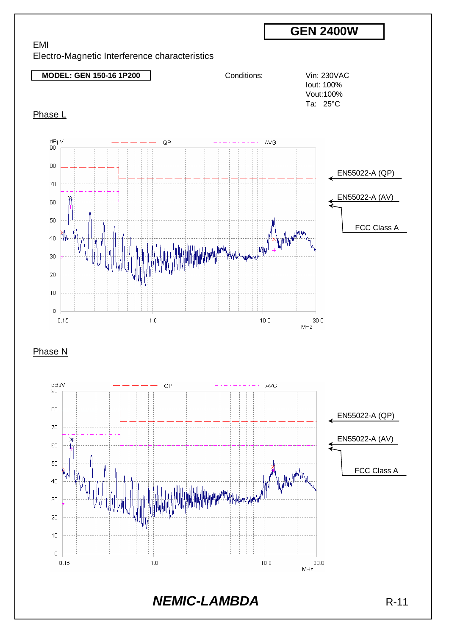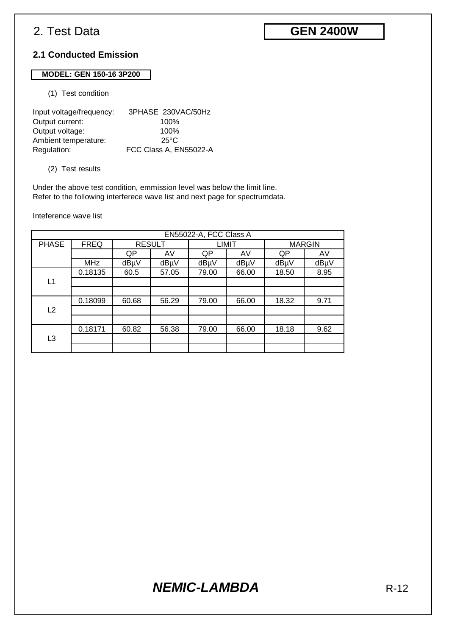# **GEN 2400W**

### **2.1 Conducted Emission**

#### **MODEL: GEN 150-16 3P200**

(1) Test condition

| Input voltage/frequency: | 3PHASE 230VAC/50Hz     |
|--------------------------|------------------------|
| Output current:          | 100%                   |
| Output voltage:          | 100%                   |
| Ambient temperature:     | $25^{\circ}$ C         |
| Regulation:              | FCC Class A, EN55022-A |

#### (2) Test results

Under the above test condition, emmission level was below the limit line. Refer to the following interferece wave list and next page for spectrumdata.

Inteference wave list

| EN55022-A, FCC Class A |             |               |       |              |       |               |      |  |
|------------------------|-------------|---------------|-------|--------------|-------|---------------|------|--|
| <b>PHASE</b>           | <b>FREQ</b> | <b>RESULT</b> |       | <b>LIMIT</b> |       | <b>MARGIN</b> |      |  |
|                        |             | QP            | AV    | QP           | AV    | QP            | AV   |  |
|                        | <b>MHz</b>  | dBµV          | dBµV  | dBµV         | dBµV  | dBµV          | dBµV |  |
|                        | 0.18135     | 60.5          | 57.05 | 79.00        | 66.00 | 18.50         | 8.95 |  |
| L1                     |             |               |       |              |       |               |      |  |
|                        |             |               |       |              |       |               |      |  |
|                        | 0.18099     | 60.68         | 56.29 | 79.00        | 66.00 | 18.32         | 9.71 |  |
| L <sub>2</sub>         |             |               |       |              |       |               |      |  |
|                        |             |               |       |              |       |               |      |  |
|                        | 0.18171     | 60.82         | 56.38 | 79.00        | 66.00 | 18.18         | 9.62 |  |
| L3                     |             |               |       |              |       |               |      |  |
|                        |             |               |       |              |       |               |      |  |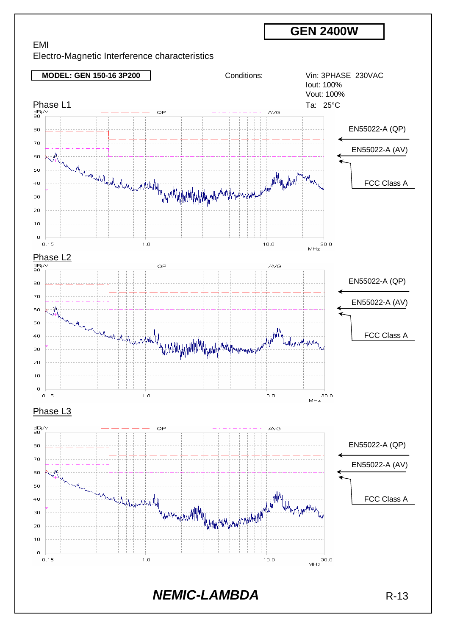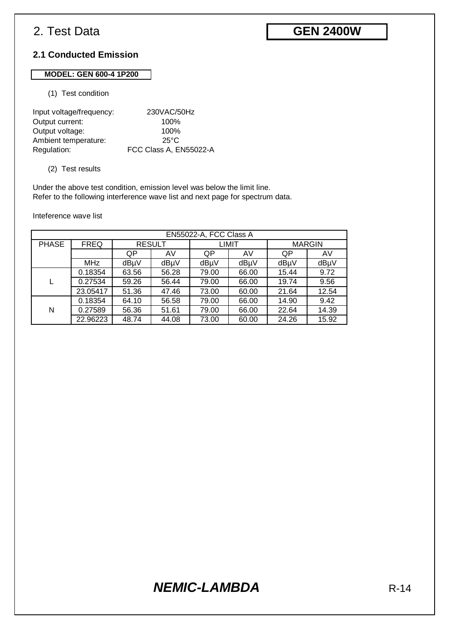# **GEN 2400W**

#### **2.1 Conducted Emission**

### **MODEL: GEN 600-4 1P200**

#### (1) Test condition

| Input voltage/frequency: | 230VAC/50Hz            |
|--------------------------|------------------------|
| Output current:          | 100%                   |
| Output voltage:          | 100%                   |
| Ambient temperature:     | 25°C                   |
| Regulation:              | FCC Class A, EN55022-A |

#### (2) Test results

Under the above test condition, emission level was below the limit line. Refer to the following interference wave list and next page for spectrum data.

Inteference wave list

| EN55022-A, FCC Class A |             |               |       |              |       |               |       |  |
|------------------------|-------------|---------------|-------|--------------|-------|---------------|-------|--|
| <b>PHASE</b>           | <b>FREQ</b> | <b>RESULT</b> |       | <b>LIMIT</b> |       | <b>MARGIN</b> |       |  |
|                        |             | QP            | AV    | QP           | AV    | QP            | AV    |  |
|                        | <b>MHz</b>  | dBµV          | dBµV  | dBµV         | dBµV  | dBµV          | dBµV  |  |
|                        | 0.18354     | 63.56         | 56.28 | 79.00        | 66.00 | 15.44         | 9.72  |  |
|                        | 0.27534     | 59.26         | 56.44 | 79.00        | 66.00 | 19.74         | 9.56  |  |
|                        | 23.05417    | 51.36         | 47.46 | 73.00        | 60.00 | 21.64         | 12.54 |  |
| N                      | 0.18354     | 64.10         | 56.58 | 79.00        | 66.00 | 14.90         | 9.42  |  |
|                        | 0.27589     | 56.36         | 51.61 | 79.00        | 66.00 | 22.64         | 14.39 |  |
|                        | 22.96223    | 48.74         | 44.08 | 73.00        | 60.00 | 24.26         | 15.92 |  |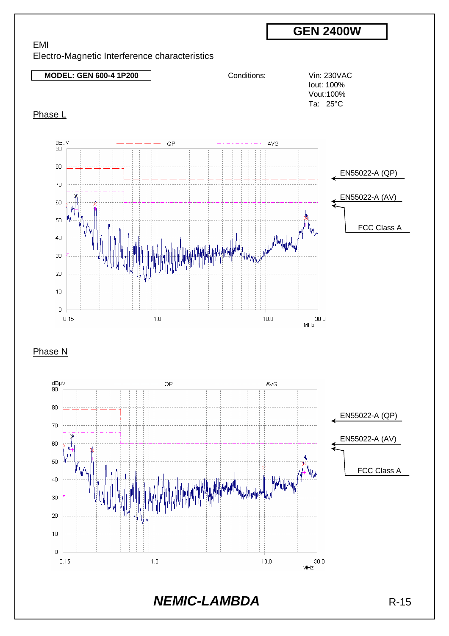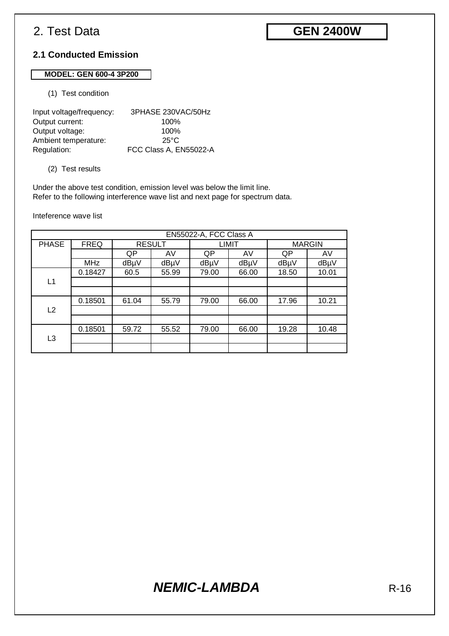# **GEN 2400W**

#### **2.1 Conducted Emission**

### **MODEL: GEN 600-4 3P200**

(1) Test condition

| Input voltage/frequency: | 3PHASE 230VAC/50Hz     |
|--------------------------|------------------------|
| Output current:          | 100%                   |
| Output voltage:          | 100%                   |
| Ambient temperature:     | 25°C                   |
| Regulation:              | FCC Class A, EN55022-A |

#### (2) Test results

Under the above test condition, emission level was below the limit line. Refer to the following interference wave list and next page for spectrum data.

Inteference wave list

| EN55022-A, FCC Class A |             |               |       |              |       |               |       |  |
|------------------------|-------------|---------------|-------|--------------|-------|---------------|-------|--|
| <b>PHASE</b>           | <b>FREQ</b> | <b>RESULT</b> |       | <b>LIMIT</b> |       | <b>MARGIN</b> |       |  |
|                        |             | QP            | AV    | QP           | AV    | QP            | AV    |  |
|                        | <b>MHz</b>  | dBµV          | dBµV  | dBµV         | dBµV  | dBµV          | dBµV  |  |
|                        | 0.18427     | 60.5          | 55.99 | 79.00        | 66.00 | 18.50         | 10.01 |  |
| L1                     |             |               |       |              |       |               |       |  |
|                        |             |               |       |              |       |               |       |  |
|                        | 0.18501     | 61.04         | 55.79 | 79.00        | 66.00 | 17.96         | 10.21 |  |
| L2                     |             |               |       |              |       |               |       |  |
|                        |             |               |       |              |       |               |       |  |
|                        | 0.18501     | 59.72         | 55.52 | 79.00        | 66.00 | 19.28         | 10.48 |  |
| L <sub>3</sub>         |             |               |       |              |       |               |       |  |
|                        |             |               |       |              |       |               |       |  |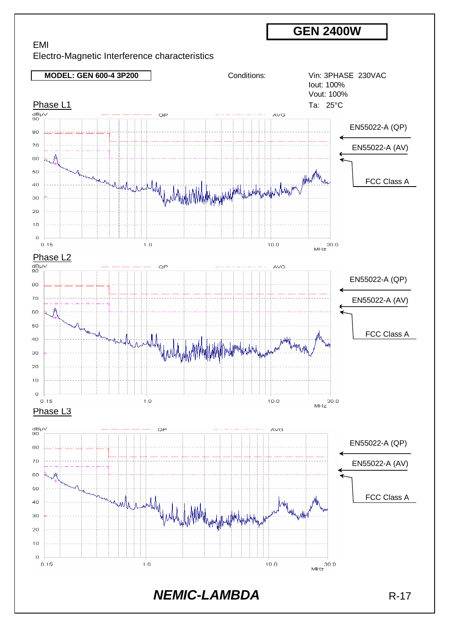

**MODEL: GEN 600-4 3P200** Conditions: Vin: 3PHASE 230VAC Iout: 100% Vout: 100%  $\frac{\text{Phase } L1}{\text{GBW}}$  Ta: 25°C QP AVG EN55022-A (QP) 80 70 EN55022-A (AV) 60 Why further who had the way the mother 50 FCC Class A  $40$ 30  $20$  $10$  $\overline{0}$  $0.15$  $1.0$  $10.0$  $\frac{\text{Phase L2}}{\text{max}}$  $QP$ AVG EN55022-A (QP) 80  $70$ EN55022-A (AV) 60 50 Ariambly FCC Class A  $40$ 30  $\overline{20}$  $10$  $\bar{0}$  $0.15$  $1.0$  $10.0$  $30.0$  $MHz$ Phase L3  $\begin{array}{c} \mathsf{dB}\mathsf{\mu}\mathsf{V}\\ \mathsf{90}\end{array}$  $\cap P$ **AVG** EN55022-A (QP) 80 70 EN55022-A (AV) 60 50 and the sum which will be a filled the way of the way of the way of the way of the way of the way of FCC Class A $40$ 30 20  $10$  $\circ$  $1.0$  $0.15$  $10.0$ **NEMIC-LAMBDA** R-17

**GEN 2400W**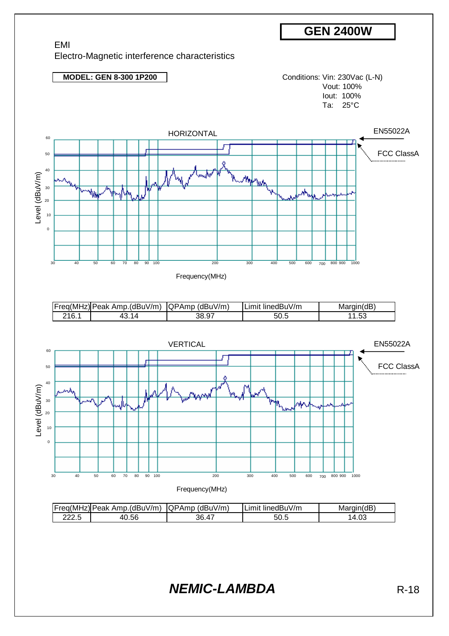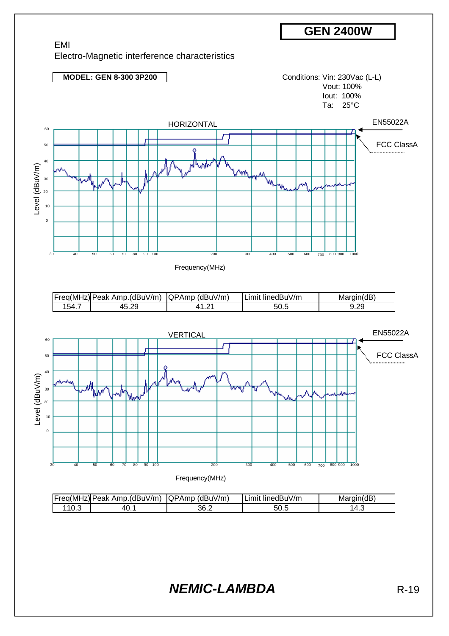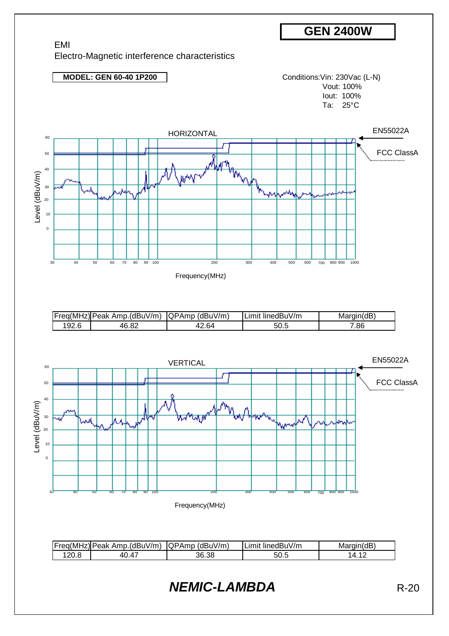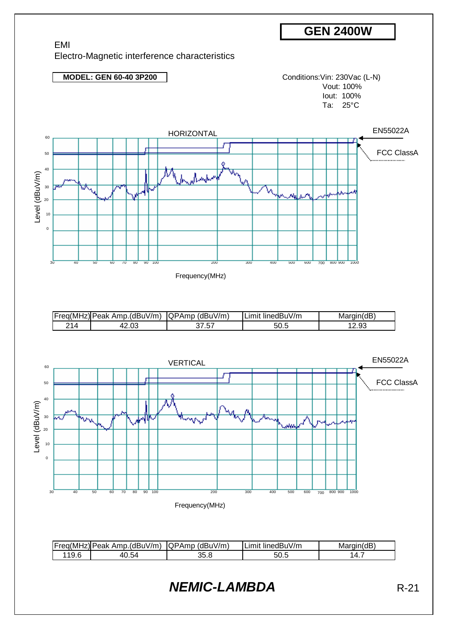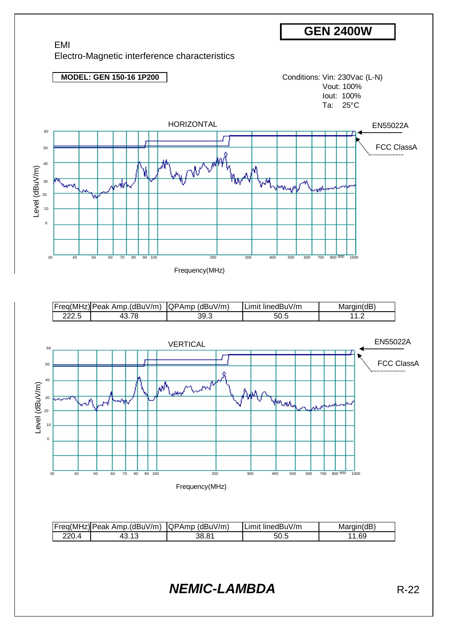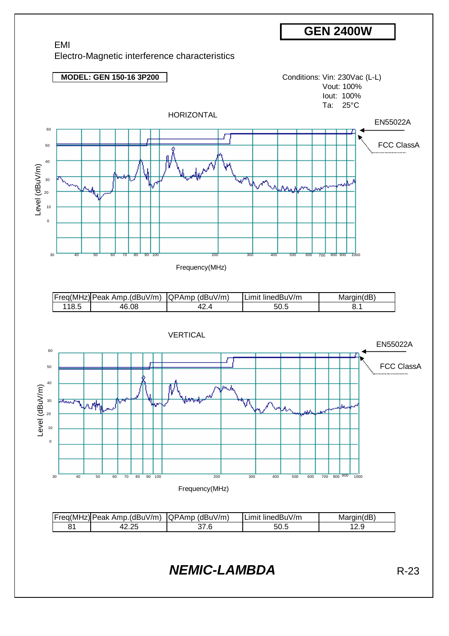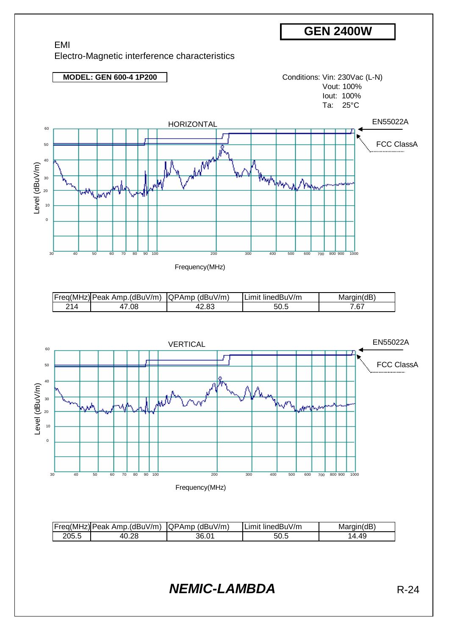